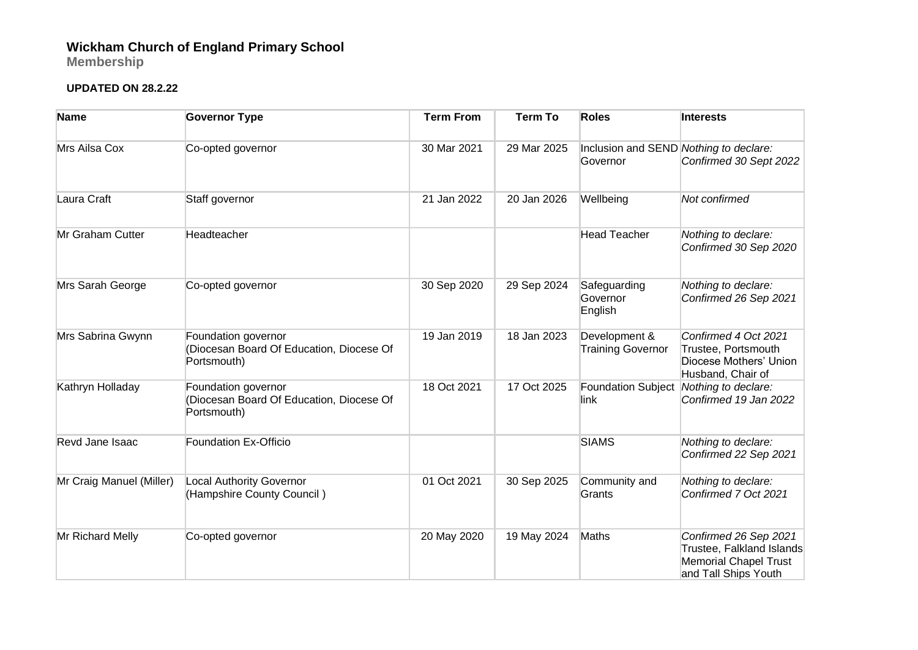## **Wickham Church of England Primary School**

**Membership**

## **UPDATED ON 28.2.22**

| <b>Name</b>              | <b>Governor Type</b>                                                           | <b>Term From</b> | <b>Term To</b> | <b>Roles</b>                                       | <b>Interests</b>                                                                                           |
|--------------------------|--------------------------------------------------------------------------------|------------------|----------------|----------------------------------------------------|------------------------------------------------------------------------------------------------------------|
| Mrs Ailsa Cox            | Co-opted governor                                                              | 30 Mar 2021      | 29 Mar 2025    | Inclusion and SEND Nothing to declare:<br>Governor | Confirmed 30 Sept 2022                                                                                     |
| Laura Craft              | Staff governor                                                                 | 21 Jan 2022      | 20 Jan 2026    | Wellbeing                                          | Not confirmed                                                                                              |
| Mr Graham Cutter         | Headteacher                                                                    |                  |                | <b>Head Teacher</b>                                | Nothing to declare:<br>Confirmed 30 Sep 2020                                                               |
| Mrs Sarah George         | Co-opted governor                                                              | 30 Sep 2020      | 29 Sep 2024    | Safeguarding<br>Governor<br>English                | Nothing to declare:<br>Confirmed 26 Sep 2021                                                               |
| Mrs Sabrina Gwynn        | Foundation governor<br>(Diocesan Board Of Education, Diocese Of<br>Portsmouth) | 19 Jan 2019      | 18 Jan 2023    | Development &<br><b>Training Governor</b>          | Confirmed 4 Oct 2021<br>Trustee, Portsmouth<br>Diocese Mothers' Union<br>Husband, Chair of                 |
| Kathryn Holladay         | Foundation governor<br>(Diocesan Board Of Education, Diocese Of<br>Portsmouth) | 18 Oct 2021      | 17 Oct 2025    | <b>Foundation Subject</b><br>link                  | Nothing to declare:<br>Confirmed 19 Jan 2022                                                               |
| Revd Jane Isaac          | <b>Foundation Ex-Officio</b>                                                   |                  |                | <b>SIAMS</b>                                       | Nothing to declare:<br>Confirmed 22 Sep 2021                                                               |
| Mr Craig Manuel (Miller) | <b>Local Authority Governor</b><br>(Hampshire County Council)                  | 01 Oct 2021      | 30 Sep 2025    | Community and<br>Grants                            | Nothing to declare:<br>Confirmed 7 Oct 2021                                                                |
| Mr Richard Melly         | Co-opted governor                                                              | 20 May 2020      | 19 May 2024    | Maths                                              | Confirmed 26 Sep 2021<br>Trustee, Falkland Islands<br><b>Memorial Chapel Trust</b><br>and Tall Ships Youth |